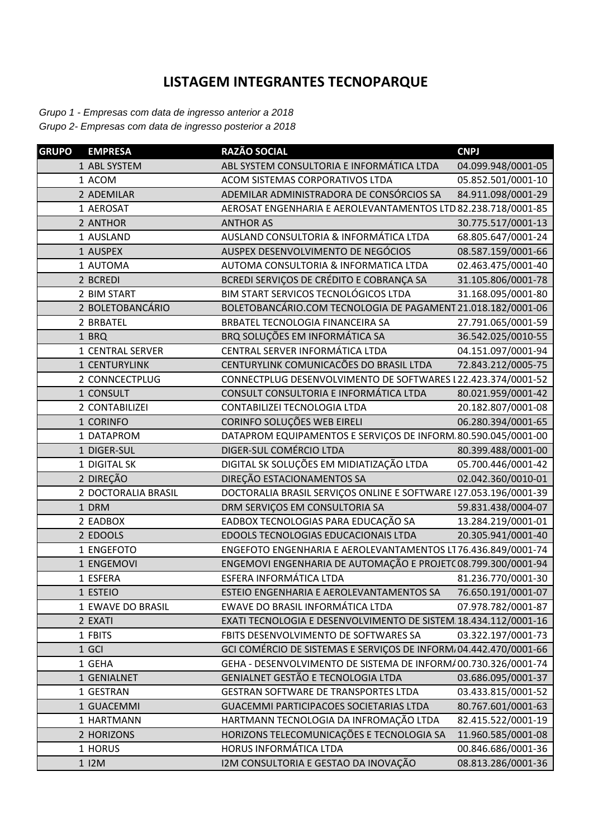## **LISTAGEM INTEGRANTES TECNOPARQUE**

*Grupo 1 - Empresas com data de ingresso anterior a 2018 Grupo 2- Empresas com data de ingresso posterior a 2018*

| <b>GRUPO</b> | <b>EMPRESA</b>      | <b>RAZÃO SOCIAL</b>                                               | <b>CNPJ</b>        |
|--------------|---------------------|-------------------------------------------------------------------|--------------------|
|              | 1 ABL SYSTEM        | ABL SYSTEM CONSULTORIA E INFORMÁTICA LTDA                         | 04.099.948/0001-05 |
|              | 1 ACOM              | ACOM SISTEMAS CORPORATIVOS LTDA                                   | 05.852.501/0001-10 |
|              | 2 ADEMILAR          | ADEMILAR ADMINISTRADORA DE CONSÓRCIOS SA                          | 84.911.098/0001-29 |
|              | 1 AEROSAT           | AEROSAT ENGENHARIA E AEROLEVANTAMENTOS LTD 82.238.718/0001-85     |                    |
|              | 2 ANTHOR            | <b>ANTHOR AS</b>                                                  | 30.775.517/0001-13 |
|              | 1 AUSLAND           | AUSLAND CONSULTORIA & INFORMÁTICA LTDA                            | 68.805.647/0001-24 |
|              | 1 AUSPEX            | AUSPEX DESENVOLVIMENTO DE NEGÓCIOS                                | 08.587.159/0001-66 |
|              | 1 AUTOMA            | AUTOMA CONSULTORIA & INFORMATICA LTDA                             | 02.463.475/0001-40 |
|              | 2 BCREDI            | BCREDI SERVIÇOS DE CRÉDITO E COBRANÇA SA                          | 31.105.806/0001-78 |
|              | 2 BIM START         | BIM START SERVICOS TECNOLÓGICOS LTDA                              | 31.168.095/0001-80 |
|              | 2 BOLETOBANCÁRIO    | BOLETOBANCÁRIO.COM TECNOLOGIA DE PAGAMENT 21.018.182/0001-06      |                    |
|              | 2 BRBATEL           | BRBATEL TECNOLOGIA FINANCEIRA SA                                  | 27.791.065/0001-59 |
|              | 1 BRQ               | BRQ SOLUÇÕES EM INFORMÁTICA SA                                    | 36.542.025/0010-55 |
|              | 1 CENTRAL SERVER    | CENTRAL SERVER INFORMÁTICA LTDA                                   | 04.151.097/0001-94 |
|              | 1 CENTURYLINK       | CENTURYLINK COMUNICACÕES DO BRASIL LTDA                           | 72.843.212/0005-75 |
|              | 2 CONNCECTPLUG      | CONNECTPLUG DESENVOLVIMENTO DE SOFTWARES I 22.423.374/0001-52     |                    |
|              | 1 CONSULT           | CONSULT CONSULTORIA E INFORMÁTICA LTDA                            | 80.021.959/0001-42 |
|              | 2 CONTABILIZEI      | CONTABILIZEI TECNOLOGIA LTDA                                      | 20.182.807/0001-08 |
|              | 1 CORINFO           | CORINFO SOLUÇÕES WEB EIRELI                                       | 06.280.394/0001-65 |
|              | 1 DATAPROM          | DATAPROM EQUIPAMENTOS E SERVIÇOS DE INFORM 80.590.045/0001-00     |                    |
|              | 1 DIGER-SUL         | DIGER-SUL COMÉRCIO LTDA                                           | 80.399.488/0001-00 |
|              | 1 DIGITAL SK        | DIGITAL SK SOLUÇÕES EM MIDIATIZAÇÃO LTDA                          | 05.700.446/0001-42 |
|              | 2 DIREÇÃO           | DIREÇÃO ESTACIONAMENTOS SA                                        | 02.042.360/0010-01 |
|              | 2 DOCTORALIA BRASIL | DOCTORALIA BRASIL SERVIÇOS ONLINE E SOFTWARE 127.053.196/0001-39  |                    |
|              | 1 DRM               | DRM SERVIÇOS EM CONSULTORIA SA                                    | 59.831.438/0004-07 |
|              | 2 EADBOX            | EADBOX TECNOLOGIAS PARA EDUCAÇÃO SA                               | 13.284.219/0001-01 |
|              | 2 EDOOLS            | EDOOLS TECNOLOGIAS EDUCACIONAIS LTDA                              | 20.305.941/0001-40 |
|              | 1 ENGEFOTO          | ENGEFOTO ENGENHARIA E AEROLEVANTAMENTOS L176.436.849/0001-74      |                    |
|              | 1 ENGEMOVI          | ENGEMOVI ENGENHARIA DE AUTOMAÇÃO E PROJETC 08.799.300/0001-94     |                    |
|              | 1 ESFERA            | ESFERA INFORMÁTICA LTDA                                           | 81.236.770/0001-30 |
|              | 1 ESTEIO            | ESTEIO ENGENHARIA E AEROLEVANTAMENTOS SA 76.650.191/0001-07       |                    |
|              | 1 EWAVE DO BRASIL   | EWAVE DO BRASIL INFORMÁTICA LTDA                                  | 07.978.782/0001-87 |
|              | 2 EXATI             | EXATI TECNOLOGIA E DESENVOLVIMENTO DE SISTEM 18.434.112/0001-16   |                    |
|              | 1 FBITS             | FBITS DESENVOLVIMENTO DE SOFTWARES SA                             | 03.322.197/0001-73 |
|              | 1 GCI               | GCI COMÉRCIO DE SISTEMAS E SERVIÇOS DE INFORM, 04.442.470/0001-66 |                    |
|              | 1 GEHA              | GEHA - DESENVOLVIMENTO DE SISTEMA DE INFORM/00.730.326/0001-74    |                    |
|              | 1 GENIALNET         | GENIALNET GESTÃO E TECNOLOGIA LTDA                                | 03.686.095/0001-37 |
|              | 1 GESTRAN           | <b>GESTRAN SOFTWARE DE TRANSPORTES LTDA</b>                       | 03.433.815/0001-52 |
|              | 1 GUACEMMI          | GUACEMMI PARTICIPACOES SOCIETARIAS LTDA                           | 80.767.601/0001-63 |
|              | 1 HARTMANN          | HARTMANN TECNOLOGIA DA INFROMAÇÃO LTDA                            | 82.415.522/0001-19 |
|              | 2 HORIZONS          | HORIZONS TELECOMUNICAÇÕES E TECNOLOGIA SA                         | 11.960.585/0001-08 |
|              | 1 HORUS             | HORUS INFORMÁTICA LTDA                                            | 00.846.686/0001-36 |
|              | 1 I2M               | I2M CONSULTORIA E GESTAO DA INOVAÇÃO                              | 08.813.286/0001-36 |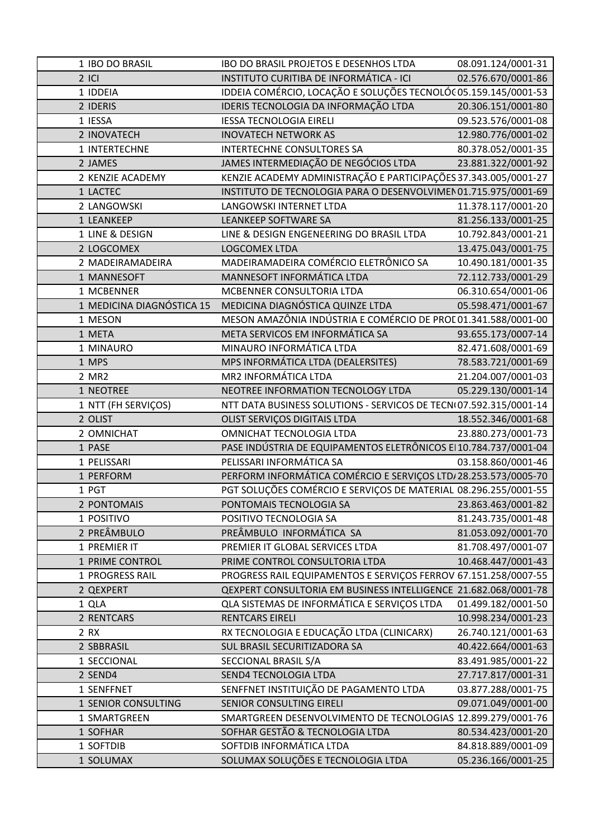| 1 IBO DO BRASIL           | IBO DO BRASIL PROJETOS E DESENHOS LTDA                            | 08.091.124/0001-31 |
|---------------------------|-------------------------------------------------------------------|--------------------|
| $2$ ICI                   | INSTITUTO CURITIBA DE INFORMÁTICA - ICI                           | 02.576.670/0001-86 |
| 1 IDDEIA                  | IDDEIA COMÉRCIO, LOCAÇÃO E SOLUÇÕES TECNOLÓ(05.159.145/0001-53    |                    |
| 2 IDERIS                  | IDERIS TECNOLOGIA DA INFORMAÇÃO LTDA                              | 20.306.151/0001-80 |
| 1 IESSA                   | <b>IESSA TECNOLOGIA EIRELI</b>                                    | 09.523.576/0001-08 |
| 2 INOVATECH               | <b>INOVATECH NETWORK AS</b>                                       | 12.980.776/0001-02 |
| 1 INTERTECHNE             | INTERTECHNE CONSULTORES SA                                        | 80.378.052/0001-35 |
| 2 JAMES                   | JAMES INTERMEDIAÇÃO DE NEGÓCIOS LTDA                              | 23.881.322/0001-92 |
| 2 KENZIE ACADEMY          | KENZIE ACADEMY ADMINISTRAÇÃO E PARTICIPAÇÕES 37.343.005/0001-27   |                    |
| 1 LACTEC                  | INSTITUTO DE TECNOLOGIA PARA O DESENVOLVIMEN 01.715.975/0001-69   |                    |
| 2 LANGOWSKI               | LANGOWSKI INTERNET LTDA                                           | 11.378.117/0001-20 |
| 1 LEANKEEP                | LEANKEEP SOFTWARE SA                                              | 81.256.133/0001-25 |
| 1 LINE & DESIGN           | LINE & DESIGN ENGENEERING DO BRASIL LTDA                          | 10.792.843/0001-21 |
| 2 LOGCOMEX                | <b>LOGCOMEX LTDA</b>                                              | 13.475.043/0001-75 |
| 2 MADEIRAMADEIRA          | MADEIRAMADEIRA COMÉRCIO ELETRÔNICO SA                             | 10.490.181/0001-35 |
| 1 MANNESOFT               | MANNESOFT INFORMÁTICA LTDA                                        | 72.112.733/0001-29 |
| 1 MCBENNER                | MCBENNER CONSULTORIA LTDA                                         | 06.310.654/0001-06 |
| 1 MEDICINA DIAGNÓSTICA 15 | MEDICINA DIAGNÓSTICA QUINZE LTDA                                  | 05.598.471/0001-67 |
| 1 MESON                   | MESON AMAZÔNIA INDÚSTRIA E COMÉRCIO DE PROL 01.341.588/0001-00    |                    |
| 1 META                    | META SERVICOS EM INFORMÁTICA SA                                   | 93.655.173/0007-14 |
| 1 MINAURO                 | MINAURO INFORMÁTICA LTDA                                          | 82.471.608/0001-69 |
| 1 MPS                     | MPS INFORMÁTICA LTDA (DEALERSITES)                                | 78.583.721/0001-69 |
| 2 MR2                     | MR2 INFORMÁTICA LTDA                                              | 21.204.007/0001-03 |
| 1 NEOTREE                 | NEOTREE INFORMATION TECNOLOGY LTDA                                | 05.229.130/0001-14 |
| 1 NTT (FH SERVIÇOS)       | NTT DATA BUSINESS SOLUTIONS - SERVICOS DE TECN(07.592.315/0001-14 |                    |
| 2 OLIST                   | OLIST SERVIÇOS DIGITAIS LTDA                                      | 18.552.346/0001-68 |
| 2 OMNICHAT                | OMNICHAT TECNOLOGIA LTDA                                          | 23.880.273/0001-73 |
| 1 PASE                    | PASE INDÚSTRIA DE EQUIPAMENTOS ELETRÔNICOS EI10.784.737/0001-04   |                    |
| 1 PELISSARI               | PELISSARI INFORMÁTICA SA                                          | 03.158.860/0001-46 |
| 1 PERFORM                 | PERFORM INFORMÁTICA COMÉRCIO E SERVIÇOS LTD/28.253.573/0005-70    |                    |
| 1 PGT                     | PGT SOLUÇÕES COMÉRCIO E SERVIÇOS DE MATERIAL 08.296.255/0001-55   |                    |
| 2 PONTOMAIS               | PONTOMAIS TECNOLOGIA SA                                           | 23.863.463/0001-82 |
| 1 POSITIVO                | POSITIVO TECNOLOGIA SA                                            | 81.243.735/0001-48 |
| 2 PREÂMBULO               | PREÂMBULO INFORMÁTICA SA                                          | 81.053.092/0001-70 |
| 1 PREMIER IT              | PREMIER IT GLOBAL SERVICES LTDA                                   | 81.708.497/0001-07 |
| 1 PRIME CONTROL           | PRIME CONTROL CONSULTORIA LTDA                                    | 10.468.447/0001-43 |
| 1 PROGRESS RAIL           | PROGRESS RAIL EQUIPAMENTOS E SERVIÇOS FERROV 67.151.258/0007-55   |                    |
| 2 QEXPERT                 | QEXPERT CONSULTORIA EM BUSINESS INTELLIGENCE 21.682.068/0001-78   |                    |
| 1 QLA                     | QLA SISTEMAS DE INFORMÁTICA E SERVIÇOS LTDA                       | 01.499.182/0001-50 |
| 2 RENTCARS                | <b>RENTCARS EIRELI</b>                                            | 10.998.234/0001-23 |
| 2 RX                      | RX TECNOLOGIA E EDUCAÇÃO LTDA (CLINICARX)                         | 26.740.121/0001-63 |
| 2 SBBRASIL                | SUL BRASIL SECURITIZADORA SA                                      | 40.422.664/0001-63 |
| 1 SECCIONAL               | SECCIONAL BRASIL S/A                                              | 83.491.985/0001-22 |
| 2 SEND4                   | SEND4 TECNOLOGIA LTDA                                             | 27.717.817/0001-31 |
| 1 SENFFNET                | SENFFNET INSTITUIÇÃO DE PAGAMENTO LTDA                            | 03.877.288/0001-75 |
| 1 SENIOR CONSULTING       | SENIOR CONSULTING EIRELI                                          | 09.071.049/0001-00 |
| 1 SMARTGREEN              | SMARTGREEN DESENVOLVIMENTO DE TECNOLOGIAS 12.899.279/0001-76      |                    |
| 1 SOFHAR                  | SOFHAR GESTÃO & TECNOLOGIA LTDA                                   | 80.534.423/0001-20 |
| 1 SOFTDIB                 | SOFTDIB INFORMÁTICA LTDA                                          | 84.818.889/0001-09 |
| 1 SOLUMAX                 | SOLUMAX SOLUÇÕES E TECNOLOGIA LTDA                                | 05.236.166/0001-25 |
|                           |                                                                   |                    |